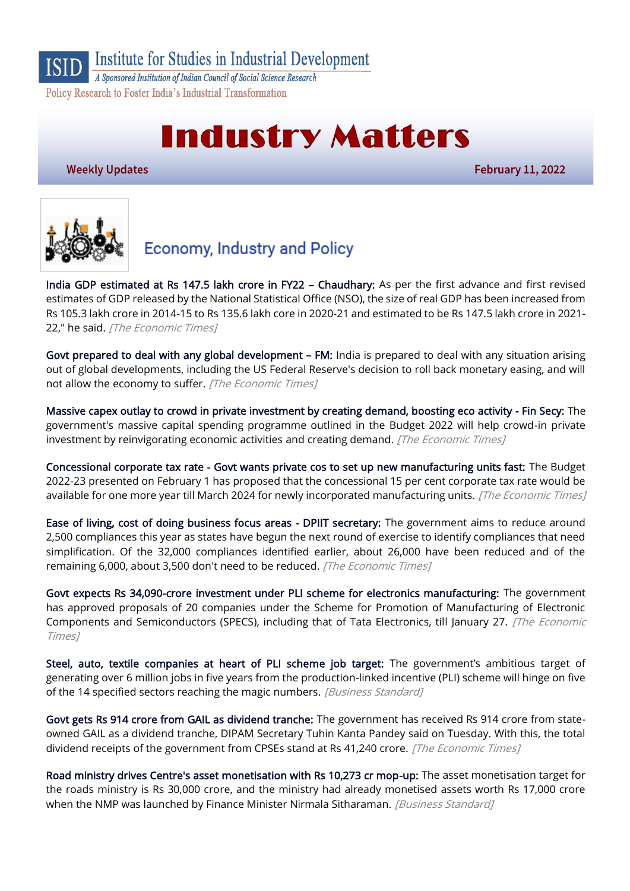

A Sponsored Institution of Indian Council of Social Science Research Policy Research to Foster India's Industrial Transformation

# **Industry Matters**

**Weekly Updates** 

**February 11, 2022** 



## **Economy, Industry and Policy**

[India GDP estimated at Rs 147.5 lakh crore in FY22](https://economictimes.indiatimes.com/news/economy/indicators/india-gdp-estimated-at-rs-147-5-lakh-crore-in-fy22-chaudhary/articleshow/89410935.cms) – Chaudhary: As per the first advance and first revised estimates of GDP released by the National Statistical Office (NSO), the size of real GDP has been increased from Rs 105.3 lakh crore in 2014-15 to Rs 135.6 lakh core in 2020-21 and estimated to be Rs 147.5 lakh crore in 2021- 22," he said. [The Economic Times]

[Govt prepared to deal with any global development](https://economictimes.indiatimes.com/small-biz/policy-trends/govt-prepared-to-deal-with-any-global-development-fm/articleshow/89396965.cms) – FM: India is prepared to deal with any situation arising out of global developments, including the US Federal Reserve's decision to roll back monetary easing, and will not allow the economy to suffer. [The Economic Times]

[Massive capex outlay to crowd in private investment by creating demand, boosting eco activity - Fin Secy:](https://economictimes.indiatimes.com/news/economy/finance/massive-capex-outlay-to-crowd-in-pvt-investment-by-creating-demand-boosting-eco-activity-fin-secy/articleshow/89381771.cms) The government's massive capital spending programme outlined in the Budget 2022 will help crowd-in private investment by reinvigorating economic activities and creating demand. [The Economic Times]

[Concessional corporate tax rate - Govt wants private cos to set up new manufacturing units fast:](https://economictimes.indiatimes.com/news/economy/policy/concessional-corporate-tax-rate-govt-wants-private-cos-to-set-up-new-manufacturing-units-fast/articleshow/89343842.cms) The Budget 2022-23 presented on February 1 has proposed that the concessional 15 per cent corporate tax rate would be available for one more year till March 2024 for newly incorporated manufacturing units. [The Economic Times]

[Ease of living, cost of doing business focus areas - DPIIT secretary:](https://economictimes.indiatimes.com/news/economy/policy/ease-of-living-cost-of-doing-business-focus-areas-dpiit-secretary/articleshow/89334093.cms) The government aims to reduce around 2,500 compliances this year as states have begun the next round of exercise to identify compliances that need simplification. Of the 32,000 compliances identified earlier, about 26,000 have been reduced and of the remaining 6,000, about 3,500 don't need to be reduced. [The Economic Times]

[Govt expects Rs 34,090-crore investment under PLI scheme for electronics manufacturing:](https://economictimes.indiatimes.com/news/economy/policy/govt-expects-rs-34090-crore-investment-under-pli-scheme-for-electronics-manufacturing/articleshow/89352799.cms) The government has approved proposals of 20 companies under the Scheme for Promotion of Manufacturing of Electronic Components and Semiconductors (SPECS), including that of Tata Electronics, till January 27. [The Economic Times]

[Steel, auto, textile companies at heart of PLI scheme job target:](https://www.business-standard.com/article/economy-policy/steel-auto-textile-companies-at-heart-of-pli-scheme-job-target-122020700029_1.html) The government's ambitious target of generating over 6 million jobs in five years from the production-linked incentive (PLI) scheme will hinge on five of the 14 specified sectors reaching the magic numbers. [Business Standard]

[Govt gets Rs 914 crore from GAIL as dividend tranche:](https://energy.economictimes.indiatimes.com/news/oil-and-gas/govt-gets-rs-914-crore-from-gail-as-dividend-tranche/89443284) The government has received Rs 914 crore from stateowned GAIL as a dividend tranche, DIPAM Secretary Tuhin Kanta Pandey said on Tuesday. With this, the total dividend receipts of the government from CPSEs stand at Rs 41,240 crore. [The Economic Times]

[Road ministry drives Centre's asset monetisation with Rs 10,273 cr mop-up:](https://www.business-standard.com/article/economy-policy/road-ministry-drives-centre-s-asset-monetisation-with-rs-10-273-cr-mop-up-122020401584_1.html) The asset monetisation target for the roads ministry is Rs 30,000 crore, and the ministry had already monetised assets worth Rs 17,000 crore when the NMP was launched by Finance Minister Nirmala Sitharaman. [Business Standard]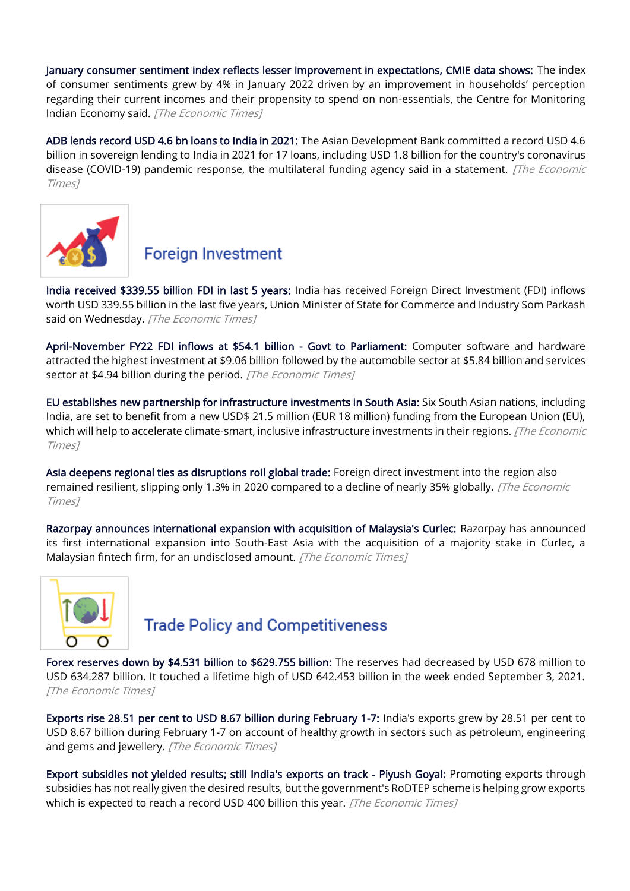[January consumer sentiment index reflects lesser improvement in expectations, CMIE data shows:](https://economictimes.indiatimes.com/news/economy/indicators/january-consumer-sentiment-index-reflects-lesser-improvement-in-expectations-cmie-data-shows/articleshow/89476139.cms) The index of consumer sentiments grew by 4% in January 2022 driven by an improvement in households' perception regarding their current incomes and their propensity to spend on non-essentials, the Centre for Monitoring Indian Economy said. [The Economic Times]

[ADB lends record USD 4.6 bn loans to India in 2021:](https://economictimes.indiatimes.com/news/economy/finance/adb-lends-record-usd-4-6-bn-loans-to-india-in-2021/articleshow/89383887.cms) The Asian Development Bank committed a record USD 4.6 billion in sovereign lending to India in 2021 for 17 loans, including USD 1.8 billion for the country's coronavirus disease (COVID-19) pandemic response, the multilateral funding agency said in a statement. *[The Economic* Times]



### **Foreign Investment**

[India received \\$339.55 billion FDI in last 5 years:](https://economictimes.indiatimes.com/news/economy/indicators/india-received-339-55-billion-fdi-in-last-5-years/articleshow/89457741.cms) India has received Foreign Direct Investment (FDI) inflows worth USD 339.55 billion in the last five years, Union Minister of State for Commerce and Industry Som Parkash said on Wednesday. [The Economic Times]

[April-November FY22 FDI inflows at \\$54.1 billion - Govt to Parliament:](https://economictimes.indiatimes.com/news/economy/finance/april-november-fy22-fdi-inflows-at-54-1-billion-govt-to-parliament/articleshow/89458072.cms) Computer software and hardware attracted the highest investment at \$9.06 billion followed by the automobile sector at \$5.84 billion and services sector at \$4.94 billion during the period. [The Economic Times]

[EU establishes new partnership for infrastructure investments in South Asia:](https://economictimes.indiatimes.com/news/economy/foreign-trade/eu-establishes-new-partnership-for-infrastructure-investments-in-south-asia/articleshow/89480442.cms) Six South Asian nations, including India, are set to benefit from a new USD\$ 21.5 million (EUR 18 million) funding from the European Union (EU), which will help to accelerate climate-smart, inclusive infrastructure investments in their regions. [The Economic Times]

[Asia deepens regional ties as disruptions roil global trade:](https://economictimes.indiatimes.com/small-biz/trade/exports/insights/asia-deepens-regional-ties-as-disruptions-roil-global-trade/articleshow/89444090.cms) Foreign direct investment into the region also remained resilient, slipping only 1.3% in 2020 compared to a decline of nearly 35% globally. [The Economic Times]

[Razorpay announces international expansion with acquisition of Malaysia's Curlec:](https://economictimes.indiatimes.com/small-biz/sme-sector/razorpay-announces-international-expansion-with-acquisition-of-malaysias-curlec/articleshow/89424339.cms) Razorpay has announced its first international expansion into South-East Asia with the acquisition of a majority stake in Curlec, a Malaysian fintech firm, for an undisclosed amount. [The Economic Times]



### **Trade Policy and Competitiveness**

[Forex reserves down by \\$4.531 billion to \\$629.755 billion:](https://economictimes.indiatimes.com/news/economy/finance/forex-reserves-down-by-4-531-billion-to-629-755-billion/articleshow/89350186.cms) The reserves had decreased by USD 678 million to USD 634.287 billion. It touched a lifetime high of USD 642.453 billion in the week ended September 3, 2021. [The Economic Times]

[Exports rise 28.51 per cent to USD 8.67 billion during February 1-7:](https://economictimes.indiatimes.com/news/economy/indicators/exports-rise-28-51-per-cent-to-usd-8-67-billion-during-february-1-7/articleshow/89437790.cms) India's exports grew by 28.51 per cent to USD 8.67 billion during February 1-7 on account of healthy growth in sectors such as petroleum, engineering and gems and jewellery. [The Economic Times]

[Export subsidies not yielded results; still India's exports on track - Piyush Goyal:](https://economictimes.indiatimes.com/news/economy/foreign-trade/export-subsidies-not-yielded-results-still-indias-exports-on-track-piyush-goyal/articleshow/89343367.cms) Promoting exports through subsidies has not really given the desired results, but the government's RoDTEP scheme is helping grow exports which is expected to reach a record USD 400 billion this year. [The Economic Times]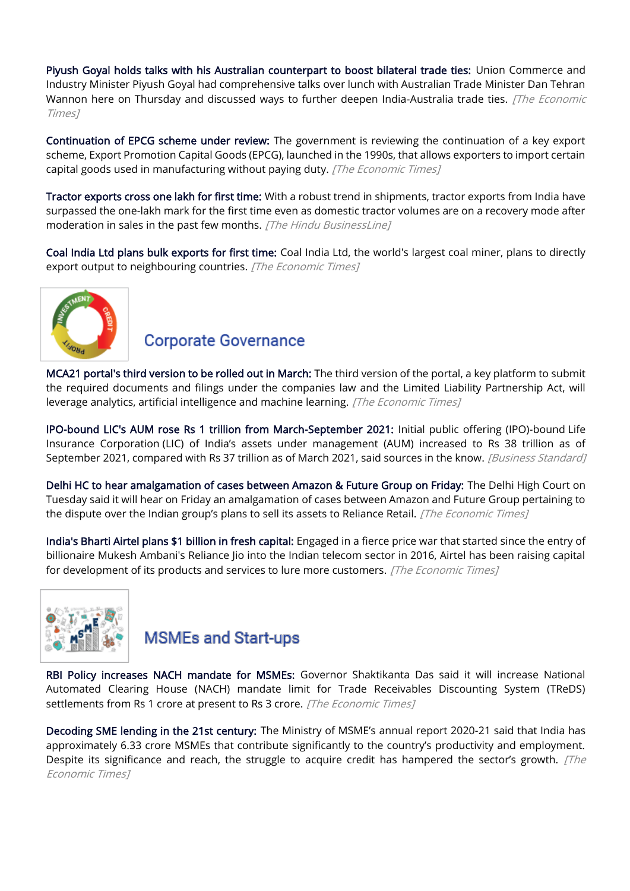[Piyush Goyal holds talks with his Australian counterpart to boost bilateral trade ties:](https://economictimes.indiatimes.com/news/economy/foreign-trade/piyush-goyal-holds-talks-with-his-australian-counterpart-to-boost-bilateral-trade-ties/articleshow/89482230.cms) Union Commerce and Industry Minister Piyush Goyal had comprehensive talks over lunch with Australian Trade Minister Dan Tehran Wannon here on Thursday and discussed ways to further deepen India-Australia trade ties. [The Economic Times]

[Continuation of EPCG scheme under review:](https://economictimes.indiatimes.com/news/economy/policy/continuation-of-epcg-scheme-under-review/articleshow/89395179.cms) The government is reviewing the continuation of a key export scheme, Export Promotion Capital Goods (EPCG), launched in the 1990s, that allows exporters to import certain capital goods used in manufacturing without paying duty. [The Economic Times]

[Tractor exports cross one lakh for first time:](https://www.thehindubusinessline.com/economy/tractor-exports-cross-one-lakh-for-firsttime/article64998377.ece) With a robust trend in shipments, tractor exports from India have surpassed the one-lakh mark for the first time even as domestic tractor volumes are on a recovery mode after moderation in sales in the past few months. [The Hindu BusinessLine]

[Coal India Ltd plans bulk exports for first time:](https://economictimes.indiatimes.com/industry/indl-goods/svs/metals-mining/indias-state-coal-giant-plans-bulk-exports-for-first-time/articleshow/89340988.cms) Coal India Ltd, the world's largest coal miner, plans to directly export output to neighbouring countries. [The Economic Times]



#### **Corporate Governance**

[MCA21 portal's third version to be rolled out in March:](https://economictimes.indiatimes.com/news/economy/policy/mca21-portals-third-version-to-be-rolled-out-in-march/articleshow/89384508.cms) The third version of the portal, a key platform to submit the required documents and filings under the companies law and the Limited Liability Partnership Act, will leverage analytics, artificial intelligence and machine learning. [The Economic Times]

[IPO-bound LIC's AUM rose Rs 1 trillion from March-September 2021:](https://www.business-standard.com/article/economy-policy/lic-s-assets-under-management-rose-rs-1-trillion-from-march-sept-2021-122021000049_1.html) Initial public offering (IPO)-bound Life Insurance Corporation (LIC) of India's assets under management (AUM) increased to Rs 38 trillion as of September 2021, compared with Rs 37 trillion as of March 2021, said sources in the know. [Business Standard]

[Delhi HC to hear amalgamation of cases between Amazon & Future Group on Friday:](https://economictimes.indiatimes.com/industry/services/retail/delhi-hc-to-hear-amalgamation-of-cases-between-amazon-future-group-on-friday/articleshow/89427208.cms) The Delhi High Court on Tuesday said it will hear on Friday an amalgamation of cases between Amazon and Future Group pertaining to the dispute over the Indian group's plans to sell its assets to Reliance Retail. [The Economic Times]

[India's Bharti Airtel plans \\$1 billion in fresh capital:](https://economictimes.indiatimes.com/industry/telecom/telecom-news/indias-bharti-airtel-plans-1-billion-in-fresh-capital/articleshow/89434208.cms) Engaged in a fierce price war that started since the entry of billionaire Mukesh Ambani's Reliance Jio into the Indian telecom sector in 2016, Airtel has been raising capital for development of its products and services to lure more customers. [The Economic Times]



### **MSMEs and Start-ups**

[RBI Policy increases NACH mandate for MSMEs:](https://economictimes.indiatimes.com/small-biz/sme-sector/rbi-policy-increases-nach-mandate-for-msmes/articleshow/89474295.cms) Governor Shaktikanta Das said it will increase National Automated Clearing House (NACH) mandate limit for Trade Receivables Discounting System (TReDS) settlements from Rs 1 crore at present to Rs 3 crore. [The Economic Times]

[Decoding SME lending in the 21st century:](https://economictimes.indiatimes.com/small-biz/sme-sector/digital-lending-is-the-future-for-msmes-here-why/articleshow/89397784.cms) The Ministry of MSME's annual report 2020-21 said that India has approximately 6.33 crore MSMEs that contribute significantly to the country's productivity and employment. Despite its significance and reach, the struggle to acquire credit has hampered the sector's growth.  $\sqrt{The}$ Economic Times]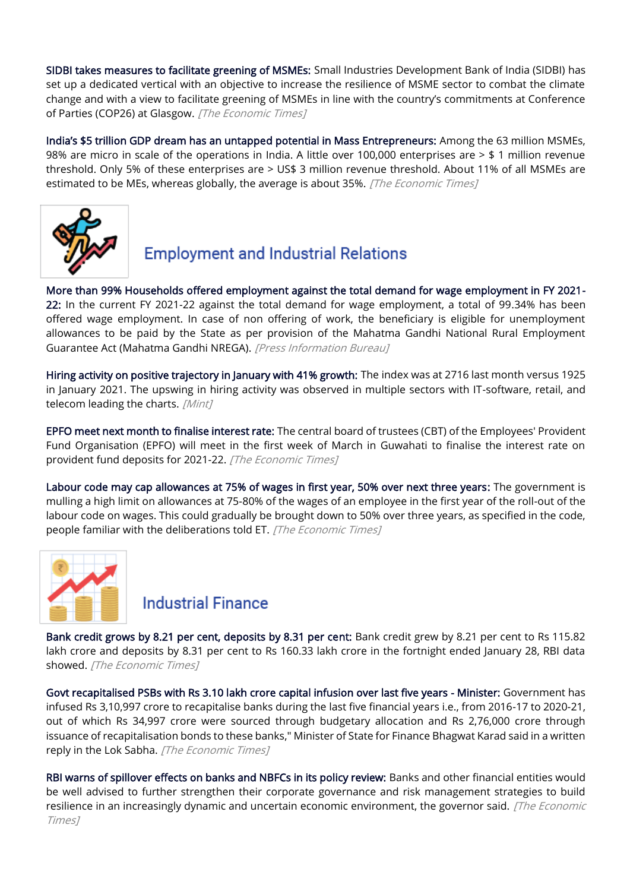[SIDBI takes measures to facilitate greening of MSMEs:](https://economictimes.indiatimes.com/small-biz/sme-sector/sidbi-takes-measures-to-facilitate-greening-of-msmes/articleshow/89423250.cms) Small Industries Development Bank of India (SIDBI) has set up a dedicated vertical with an objective to increase the resilience of MSME sector to combat the climate change and with a view to facilitate greening of MSMEs in line with the country's commitments at Conference of Parties (COP26) at Glasgow. [The Economic Times]

[India's \\$5 trillion GDP dream has an untappe](https://economictimes.indiatimes.com/small-biz/entrepreneurship/indias-5-trillion-gdp-dream-has-an-untapped-potential-in-mass-entrepreneurs/articleshow/89360914.cms)d potential in Mass Entrepreneurs: Among the 63 million MSMEs, 98% are micro in scale of the operations in India. A little over 100,000 enterprises are > \$ 1 million revenue threshold. Only 5% of these enterprises are > US\$ 3 million revenue threshold. About 11% of all MSMEs are estimated to be MEs, whereas globally, the average is about 35%. *[The Economic Times]* 



# **Employment and Industrial Relations**

[More than 99% Households offered employment against the total demand for wage employment in FY 2021-](https://pib.gov.in/PressReleasePage.aspx?PRID=1796877) [22:](https://pib.gov.in/PressReleasePage.aspx?PRID=1796877) In the current FY 2021-22 against the total demand for wage employment, a total of 99.34% has been offered wage employment. In case of non offering of work, the beneficiary is eligible for unemployment allowances to be paid by the State as per provision of the Mahatma Gandhi National Rural Employment Guarantee Act (Mahatma Gandhi NREGA). [Press Information Bureau]

[Hiring activity on positive trajectory in January with 41% growth:](https://www.livemint.com/news/india/hiring-activity-on-positive-trajectory-in-january-with-41-growth-11644306044185.html) The index was at 2716 last month versus 1925 in January 2021. The upswing in hiring activity was observed in multiple sectors with IT-software, retail, and telecom leading the charts. [Mint]

[EPFO meet next month to finalise interest rate:](https://economictimes.indiatimes.com/news/economy/policy/epfo-meet-next-month-to-finalise-interest-rate/articleshow/89417963.cms) The central board of trustees (CBT) of the Employees' Provident Fund Organisation (EPFO) will meet in the first week of March in Guwahati to finalise the interest rate on provident fund deposits for 2021-22. [The Economic Times]

[Labour code may cap allowances at 75% of wages in first year, 50% over next three years:](https://economictimes.indiatimes.com/news/economy/policy/labour-code-may-cap-allowances-at-75-of-wages-in-first-year-50-over-next-three-years/articleshow/89395042.cms) The government is mulling a high limit on allowances at 75-80% of the wages of an employee in the first year of the roll-out of the labour code on wages. This could gradually be brought down to 50% over three years, as specified in the code, people familiar with the deliberations told ET. [The Economic Times]



### **Industrial Finance**

[Bank credit grows by 8.21 per cent, deposits by 8.31 per cent:](https://economictimes.indiatimes.com/industry/banking/finance/banking/bank-credit-grows-by-8-21-per-cent-deposits-by-8-31-per-cent/articleshow/89484517.cms) Bank credit grew by 8.21 per cent to Rs 115.82 lakh crore and deposits by 8.31 per cent to Rs 160.33 lakh crore in the fortnight ended January 28, RBI data showed. [The Economic Times]

[Govt recapitalised PSBs with Rs 3.10 lakh crore capital infusion over last five years - Minister:](https://economictimes.indiatimes.com/industry/banking/finance/banking/govt-recapitalised-psbs-with-rs-3-10-lakh-crore-capital-infusion-over-last-five-years-minister/articleshow/89412699.cms) Government has infused Rs 3,10,997 crore to recapitalise banks during the last five financial years i.e., from 2016-17 to 2020-21, out of which Rs 34,997 crore were sourced through budgetary allocation and Rs 2,76,000 crore through issuance of recapitalisation bonds to these banks," Minister of State for Finance Bhagwat Karad said in a written reply in the Lok Sabha. [The Economic Times]

[RBI warns of spillover effects on banks and NBFCs in its policy review:](https://economictimes.indiatimes.com/industry/banking/finance/banking/rbi-warns-of-spillover-effects-on-banks-nbfcs/articleshow/89471476.cms) Banks and other financial entities would be well advised to further strengthen their corporate governance and risk management strategies to build resilience in an increasingly dynamic and uncertain economic environment, the governor said. [The Economic Times]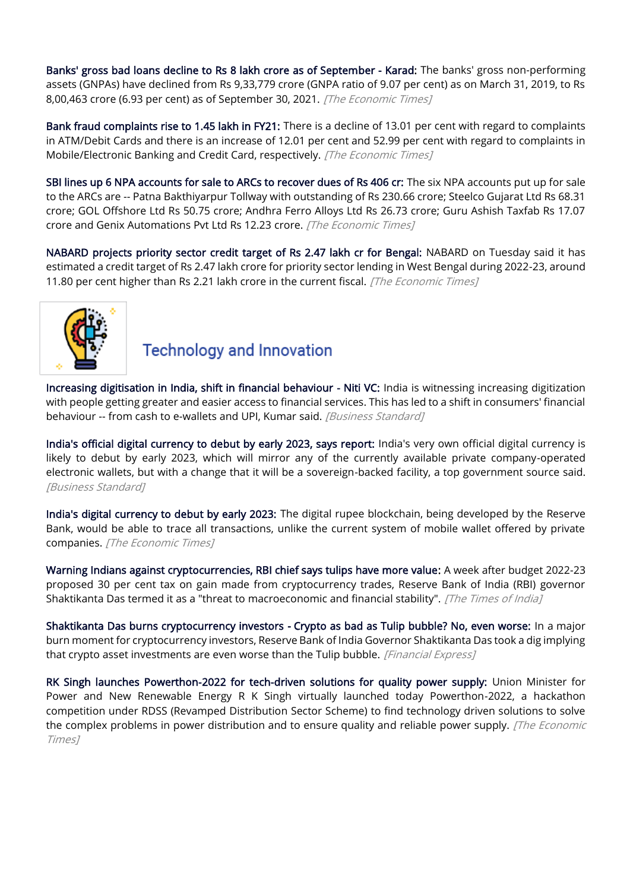[Banks' gross bad loans decline to Rs 8 lakh crore as of September - Karad:](https://economictimes.indiatimes.com/industry/banking/finance/banking/banks-gross-bad-loans-decline-to-rs-8-lakh-crore-as-of-september-karad/articleshow/89413099.cms) The banks' gross non-performing assets (GNPAs) have declined from Rs 9,33,779 crore (GNPA ratio of 9.07 per cent) as on March 31, 2019, to Rs 8,00,463 crore (6.93 per cent) as of September 30, 2021. [The Economic Times]

[Bank fraud complaints rise to 1.45 lakh in FY21:](https://economictimes.indiatimes.com/industry/banking/finance/banking/bank-fraud-complaints-rise-to-1-45-lakh-in-fy21/articleshow/89425948.cms) There is a decline of 13.01 per cent with regard to complaints in ATM/Debit Cards and there is an increase of 12.01 per cent and 52.99 per cent with regard to complaints in Mobile/Electronic Banking and Credit Card, respectively. [The Economic Times]

[SBI lines up 6 NPA accounts for sale to ARCs to recover dues of Rs 406 cr:](https://economictimes.indiatimes.com/industry/banking/finance/banking/sbi-lines-up-6-npa-accounts-for-sale-to-arcs-to-recover-dues-of-rs-406-cr/articleshow/89379755.cms) The six NPA accounts put up for sale to the ARCs are -- Patna Bakthiyarpur Tollway with outstanding of Rs 230.66 crore; Steelco Gujarat Ltd Rs 68.31 crore; GOL Offshore Ltd Rs 50.75 crore; Andhra Ferro Alloys Ltd Rs 26.73 crore; Guru Ashish Taxfab Rs 17.07 crore and Genix Automations Pvt Ltd Rs 12.23 crore. [The Economic Times]

[NABARD projects priority sector credit target of Rs 2.47 lakh cr for Bengal:](https://economictimes.indiatimes.com/small-biz/sme-sector/nabard-projects-priority-sector-credit-target-of-rs-2-47-lakh-cr-for-bengal/articleshow/89443623.cms) NABARD on Tuesday said it has estimated a credit target of Rs 2.47 lakh crore for priority sector lending in West Bengal during 2022-23, around 11.80 per cent higher than Rs 2.21 lakh crore in the current fiscal. [The Economic Times]



### **Technology and Innovation**

[Increasing digitisation in India, shift in financial behaviour - Niti VC:](https://www.business-standard.com/article/economy-policy/increasing-digitisation-in-india-shift-in-financial-behaviour-niti-vc-122020701370_1.html) India is witnessing increasing digitization with people getting greater and easier access to financial services. This has led to a shift in consumers' financial behaviour -- from cash to e-wallets and UPI, Kumar said. [Business Standard]

[India's official digital currency to debut by early 2023, says report:](https://www.business-standard.com/article/economy-policy/india-s-official-digital-currency-to-debut-by-early-2023-says-report-122020600253_1.html) India's very own official digital currency is likely to debut by early 2023, which will mirror any of the currently available private company-operated electronic wallets, but with a change that it will be a sovereign-backed facility, a top government source said. [Business Standard]

[India's digital currency to debut by early 2023:](https://economictimes.indiatimes.com/news/economy/policy/indias-digital-currency-to-debut-by-early-2023/articleshow/89379626.cms) The digital rupee blockchain, being developed by the Reserve Bank, would be able to trace all transactions, unlike the current system of mobile wallet offered by private companies. [The Economic Times]

[Warning Indians against cryptocurrencies, RBI chief says tulips have more value:](https://timesofindia.indiatimes.com/business/india-business/cryptos-a-threat-to-financial-stability-value-not-even-a-tulip-das/articleshow/89474650.cms) A week after budget 2022-23 proposed 30 per cent tax on gain made from cryptocurrency trades, Reserve Bank of India (RBI) governor Shaktikanta Das termed it as a "threat to macroeconomic and financial stability". [The Times of India]

[Shaktikanta Das burns cryptocurrency investors - Crypto as bad as Tulip bubble? No, even worse:](https://www.financialexpress.com/market/shaktikanta-das-burns-cryptocurrency-investors-calls-crypto-assets-worth-less-than-tulip-bulbs/2430274/) In a major burn moment for cryptocurrency investors, Reserve Bank of India Governor Shaktikanta Das took a dig implying that crypto asset investments are even worse than the Tulip bubble. [Financial Express]

[RK Singh launches Powerthon-2022 for tech-driven solutions for quality power supply:](https://economictimes.indiatimes.com/industry/energy/power/rk-singh-launches-powerthon-2022-for-tech-driven-solutions-for-quality-power-supply/articleshow/89411666.cms) Union Minister for Power and New Renewable Energy R K Singh virtually launched today Powerthon-2022, a hackathon competition under RDSS (Revamped Distribution Sector Scheme) to find technology driven solutions to solve the complex problems in power distribution and to ensure quality and reliable power supply. [The Economic Times]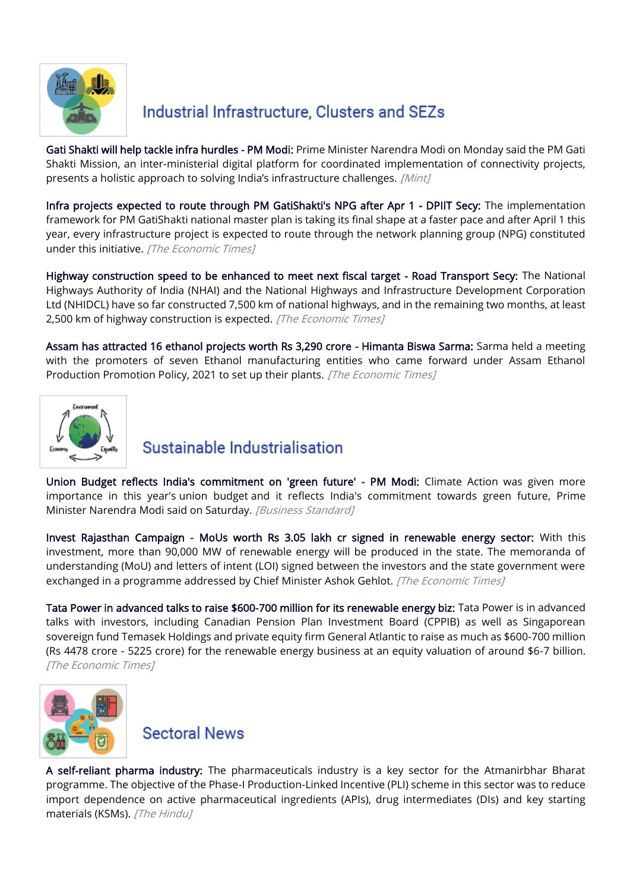

## Industrial Infrastructure, Clusters and SEZs

[Gati Shakti will help tackle infra hurdles - PM Modi:](https://www.livemint.com/economy/gati-shakti-presents-holistic-approach-to-solve-india-s-infra-challenges-pm-11644248916128.html) Prime Minister Narendra Modi on Monday said the PM Gati Shakti Mission, an inter-ministerial digital platform for coordinated implementation of connectivity projects, presents a holistic approach to solving India's infrastructure challenges. [Mint]

[Infra projects expected to route through PM GatiShakti's NPG after Apr 1 - DPIIT Secy:](https://economictimes.indiatimes.com/news/economy/infrastructure/infra-projects-expected-to-route-through-pm-gatishaktis-npg-after-apr-1-dpiit-secy/articleshow/89380767.cms) The implementation framework for PM GatiShakti national master plan is taking its final shape at a faster pace and after April 1 this year, every infrastructure project is expected to route through the network planning group (NPG) constituted under this initiative. [The Economic Times]

[Highway construction speed to be enhanced to meet next fiscal target - Road Transport Secy:](https://economictimes.indiatimes.com/news/economy/infrastructure/highway-construction-speed-to-be-enhanced-to-meet-next-fiscal-target-road-transport-secy/articleshow/89382549.cms) The National Highways Authority of India (NHAI) and the National Highways and Infrastructure Development Corporation Ltd (NHIDCL) have so far constructed 7,500 km of national highways, and in the remaining two months, at least 2,500 km of highway construction is expected. [The Economic Times]

[Assam has attracted 16 ethanol projects worth Rs 3,290 crore - Himanta Biswa Sarma:](https://economictimes.indiatimes.com/industry/energy/oil-gas/assam-has-attracted-16-ethanol-projects-worth-rs-3290-crore-himanta-biswa-sarma/articleshow/89389919.cms) Sarma held a meeting with the promoters of seven Ethanol manufacturing entities who came forward under Assam Ethanol Production Promotion Policy, 2021 to set up their plants. [The Economic Times]



### Sustainable Industrialisation

[Union Budget reflects India's commitment on 'green future' - PM Modi:](https://www.business-standard.com/article/economy-policy/union-budget-reflects-india-s-commitment-on-green-future-pm-modi-122020500915_1.html) Climate Action was given more importance in this year's union budget and it reflects India's commitment towards green future, Prime Minister Narendra Modi said on Saturday. [Business Standard]

[Invest Rajasthan Campaign - MoUs worth Rs 3.05 lakh cr signed in renewable energy sector:](https://economictimes.indiatimes.com/industry/renewables/invest-rajasthan-campaign-mous-worth-rs-3-05-lakh-cr-signed-in-renewable-energy-sector/articleshow/89438140.cms) With this investment, more than 90,000 MW of renewable energy will be produced in the state. The memoranda of understanding (MoU) and letters of intent (LOI) signed between the investors and the state government were exchanged in a programme addressed by Chief Minister Ashok Gehlot. [The Economic Times]

[Tata Power in advanced talks to raise \\$600-700 million for its renewable energy biz:](https://economictimes.indiatimes.com/industry/renewables/tata-power-in-advanced-talks-to-raise-600-700-million-for-its-renewable-energy-biz/articleshow/89390883.cms) Tata Power is in advanced talks with investors, including Canadian Pension Plan Investment Board (CPPIB) as well as Singaporean sovereign fund Temasek Holdings and private equity firm General Atlantic to raise as much as \$600-700 million (Rs 4478 crore - 5225 crore) for the renewable energy business at an equity valuation of around \$6-7 billion. [The Economic Times]



**Sectoral News** 

[A self-reliant pharma industry:](https://www.thehindu.com/opinion/op-ed/a-self-reliant-pharma-industry/article38393539.ece) The pharmaceuticals industry is a key sector for the Atmanirbhar Bharat programme. The objective of the Phase-I Production-Linked Incentive (PLI) scheme in this sector was to reduce import dependence on active pharmaceutical ingredients (APIs), drug intermediates (DIs) and key starting materials (KSMs). [The Hindu]